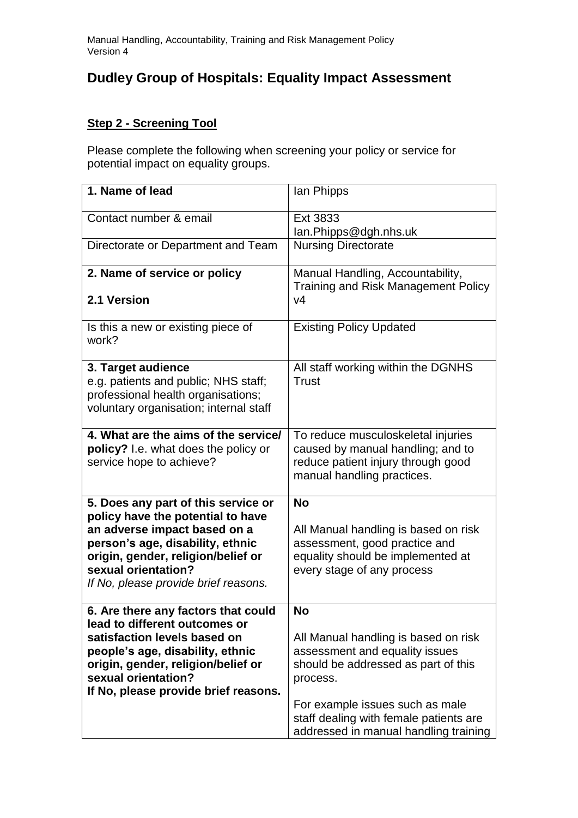# **Dudley Group of Hospitals: Equality Impact Assessment**

## **Step 2 - Screening Tool**

Please complete the following when screening your policy or service for potential impact on equality groups.

| 1. Name of lead                                                                                                                                                                                                                                   | lan Phipps                                                                                                                                                                                                                                                   |
|---------------------------------------------------------------------------------------------------------------------------------------------------------------------------------------------------------------------------------------------------|--------------------------------------------------------------------------------------------------------------------------------------------------------------------------------------------------------------------------------------------------------------|
| Contact number & email                                                                                                                                                                                                                            | Ext 3833<br>lan.Phipps@dgh.nhs.uk                                                                                                                                                                                                                            |
| Directorate or Department and Team                                                                                                                                                                                                                | <b>Nursing Directorate</b>                                                                                                                                                                                                                                   |
| 2. Name of service or policy<br>2.1 Version                                                                                                                                                                                                       | Manual Handling, Accountability,<br><b>Training and Risk Management Policy</b><br>V <sub>4</sub>                                                                                                                                                             |
| Is this a new or existing piece of<br>work?                                                                                                                                                                                                       | <b>Existing Policy Updated</b>                                                                                                                                                                                                                               |
| 3. Target audience<br>e.g. patients and public; NHS staff;<br>professional health organisations;<br>voluntary organisation; internal staff                                                                                                        | All staff working within the DGNHS<br><b>Trust</b>                                                                                                                                                                                                           |
| 4. What are the aims of the service/<br>policy? I.e. what does the policy or<br>service hope to achieve?                                                                                                                                          | To reduce musculoskeletal injuries<br>caused by manual handling; and to<br>reduce patient injury through good<br>manual handling practices.                                                                                                                  |
| 5. Does any part of this service or<br>policy have the potential to have<br>an adverse impact based on a<br>person's age, disability, ethnic<br>origin, gender, religion/belief or<br>sexual orientation?<br>If No, please provide brief reasons. | <b>No</b><br>All Manual handling is based on risk<br>assessment, good practice and<br>equality should be implemented at<br>every stage of any process                                                                                                        |
| 6. Are there any factors that could<br>lead to different outcomes or<br>satisfaction levels based on<br>people's age, disability, ethnic<br>origin, gender, religion/belief or<br>sexual orientation?<br>If No, please provide brief reasons.     | <b>No</b><br>All Manual handling is based on risk<br>assessment and equality issues<br>should be addressed as part of this<br>process.<br>For example issues such as male<br>staff dealing with female patients are<br>addressed in manual handling training |